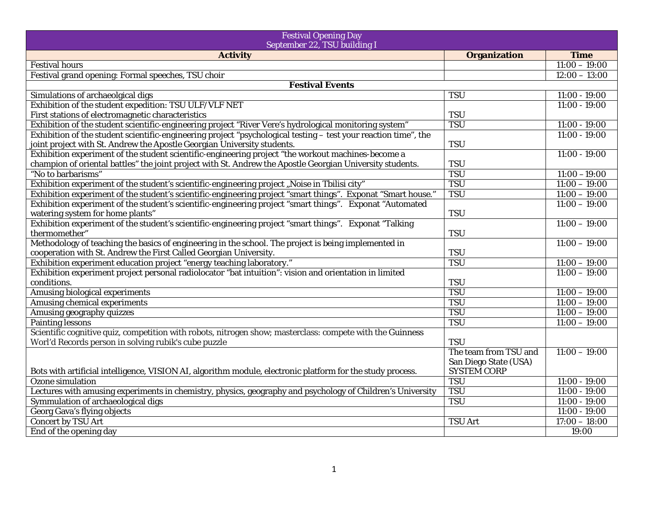| <b>Festival Opening Day</b><br>September 22, TSU building I                                                     |                       |                 |
|-----------------------------------------------------------------------------------------------------------------|-----------------------|-----------------|
| <b>Activity</b>                                                                                                 | <b>Organization</b>   | <b>Time</b>     |
| <b>Festival hours</b>                                                                                           |                       | $11:00 - 19:00$ |
| Festival grand opening: Formal speeches, TSU choir                                                              |                       | $12:00 - 13:00$ |
| <b>Festival Events</b>                                                                                          |                       |                 |
| Simulations of archaeolgical digs                                                                               | <b>TSU</b>            | $11:00 - 19:00$ |
| Exhibition of the student expedition: TSU ULF/VLF NET                                                           |                       | $11:00 - 19:00$ |
| First stations of electromagnetic characteristics                                                               | <b>TSU</b>            |                 |
| Exhibition of the student scientific-engineering project "River Vere's hydrological monitoring system"          | <b>TSU</b>            | $11:00 - 19:00$ |
| Exhibition of the student scientific-engineering project "psychological testing - test your reaction time", the |                       | $11:00 - 19:00$ |
| joint project with St. Andrew the Apostle Georgian University students.                                         | <b>TSU</b>            |                 |
| Exhibition experiment of the student scientific-engineering project "the workout machines-become a              |                       | $11:00 - 19:00$ |
| champion of oriental battles" the joint project with St. Andrew the Apostle Georgian University students.       | <b>TSU</b>            |                 |
| "No to barbarisms"                                                                                              | TSU                   | $11:00 - 19:00$ |
| Exhibition experiment of the student's scientific-engineering project "Noise in Tbilisi city"                   | TSU                   | $11:00 - 19:00$ |
| Exhibition experiment of the student's scientific-engineering project "smart things". Exponat "Smart house."    | TSU                   | $11:00 - 19:00$ |
| Exhibition experiment of the student's scientific-engineering project "smart things". Exponat "Automated        |                       | $11:00 - 19:00$ |
| watering system for home plants"                                                                                | <b>TSU</b>            |                 |
| Exhibition experiment of the student's scientific-engineering project "smart things". Exponat "Talking          |                       | $11:00 - 19:00$ |
| thermomether"                                                                                                   | <b>TSU</b>            |                 |
| Methodology of teaching the basics of engineering in the school. The project is being implemented in            |                       | $11:00 - 19:00$ |
| cooperation with St. Andrew the First Called Georgian University.                                               | <b>TSU</b>            |                 |
| Exhibition experiment education project "energy teaching laboratory."                                           | TSU                   | $11:00 - 19:00$ |
| Exhibition experiment project personal radiolocator "bat intuition": vision and orientation in limited          |                       | $11:00 - 19:00$ |
| conditions.                                                                                                     | <b>TSU</b>            |                 |
| Amusing biological experiments                                                                                  | TSU                   | $11:00 - 19:00$ |
| <b>Amusing chemical experiments</b>                                                                             | TSU                   | $11:00 - 19:00$ |
| Amusing geography quizzes                                                                                       | <b>TSU</b>            | $11:00 - 19:00$ |
| <b>Painting lessons</b>                                                                                         | <b>TSU</b>            | $11:00 - 19:00$ |
| Scientific cognitive quiz, competition with robots, nitrogen show; masterclass: compete with the Guinness       |                       |                 |
| Worl'd Records person in solving rubik's cube puzzle                                                            | <b>TSU</b>            |                 |
|                                                                                                                 | The team from TSU and | $11:00 - 19:00$ |
|                                                                                                                 | San Diego State (USA) |                 |
| Bots with artificial intelligence, VISION AI, algorithm module, electronic platform for the study process.      | <b>SYSTEM CORP</b>    |                 |
| Ozone simulation                                                                                                | <b>TSU</b>            | $11:00 - 19:00$ |
| Lectures with amusing experiments in chemistry, physics, geography and psychology of Children's University      | <b>TSU</b>            | $11:00 - 19:00$ |
| Symmulation of archaeological digs                                                                              | <b>TSU</b>            | $11:00 - 19:00$ |
| Georg Gava's flying objects                                                                                     |                       | $11:00 - 19:00$ |
| Concert by TSU Art                                                                                              | <b>TSU Art</b>        | $17:00 - 18:00$ |
| End of the opening day                                                                                          |                       | 19:00           |